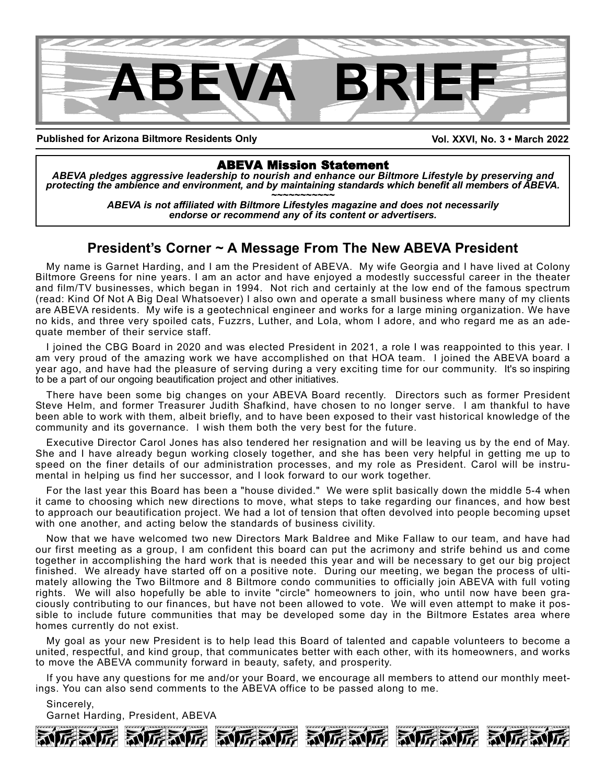

**Published for Arizona Biltmore Residents Only**

**Vol. XXVI, No. 3 • March 2022**

ABEVA Mission Statement *ABEVA pledges aggressive leadership to nourish and enhance our Biltmore Lifestyle by preserving and* protecting the ambience and environment, and by maintaining standards which benefit all members of ABEVA.<br>ABEVA is not affiliated with Biltmore Lifestyles magazine and does not necessarily

*endorse or recommend any of its content or advertisers.*

### **President's Corner ~ A Message From The New ABEVA President**

My name is Garnet Harding, and I am the President of ABEVA. My wife Georgia and I have lived at Colony Biltmore Greens for nine years. I am an actor and have enjoyed a modestly successful career in the theater and film/TV businesses, which began in 1994. Not rich and certainly at the low end of the famous spectrum (read: Kind Of Not A Big Deal Whatsoever) I also own and operate a small business where many of my clients are ABEVA residents. My wife is a geotechnical engineer and works for a large mining organization. We have no kids, and three very spoiled cats, Fuzzrs, Luther, and Lola, whom I adore, and who regard me as an adequate member of their service staff.

I joined the CBG Board in 2020 and was elected President in 2021, a role I was reappointed to this year. I am very proud of the amazing work we have accomplished on that HOA team. I joined the ABEVA board a year ago, and have had the pleasure of serving during a very exciting time for our community. It's so inspiring to be a part of our ongoing beautification project and other initiatives.

There have been some big changes on your ABEVA Board recently. Directors such as former President Steve Helm, and former Treasurer Judith Shafkind, have chosen to no longer serve. I am thankful to have been able to work with them, albeit briefly, and to have been exposed to their vast historical knowledge of the community and its governance. I wish them both the very best for the future.

Executive Director Carol Jones has also tendered her resignation and will be leaving us by the end of May. She and I have already begun working closely together, and she has been very helpful in getting me up to speed on the finer details of our administration processes, and my role as President. Carol will be instrumental in helping us find her successor, and I look forward to our work together.

For the last year this Board has been a "house divided." We were split basically down the middle 5-4 when it came to choosing which new directions to move, what steps to take regarding our finances, and how best to approach our beautification project. We had a lot of tension that often devolved into people becoming upset with one another, and acting below the standards of business civility.

Now that we have welcomed two new Directors Mark Baldree and Mike Fallaw to our team, and have had our first meeting as a group, I am confident this board can put the acrimony and strife behind us and come together in accomplishing the hard work that is needed this year and will be necessary to get our big project finished. We already have started off on a positive note. During our meeting, we began the process of ultimately allowing the Two Biltmore and 8 Biltmore condo communities to officially join ABEVA with full voting rights. We will also hopefully be able to invite "circle" homeowners to join, who until now have been graciously contributing to our finances, but have not been allowed to vote. We will even attempt to make it possible to include future communities that may be developed some day in the Biltmore Estates area where homes currently do not exist.

My goal as your new President is to help lead this Board of talented and capable volunteers to become a united, respectful, and kind group, that communicates better with each other, with its homeowners, and works to move the ABEVA community forward in beauty, safety, and prosperity.

If you have any questions for me and/or your Board, we encourage all members to attend our monthly meetings. You can also send comments to the ABEVA office to be passed along to me.

Sincerely, Garnet Harding, President, ABEVA

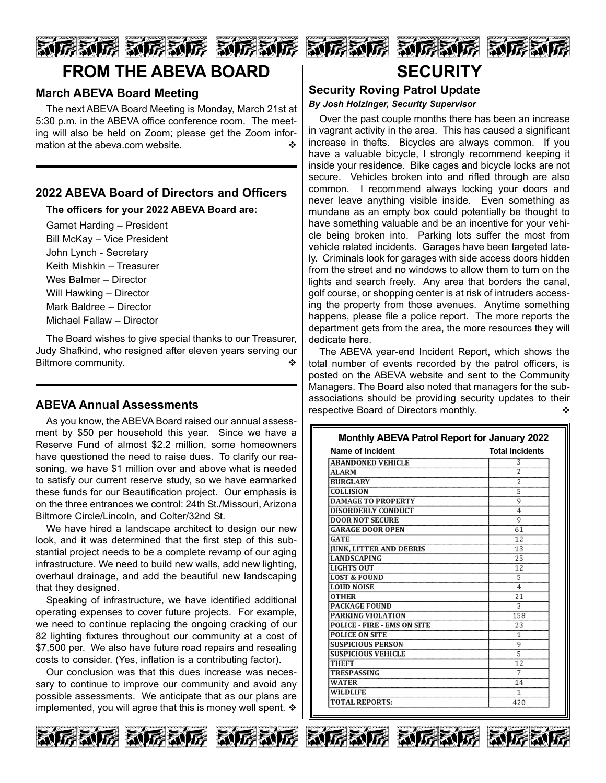# 动厉威厉 动厉威厉 动厉威厉 **FROM THE ABEVA BOARD**

#### **March ABEVA Board Meeting**

The next ABEVA Board Meeting is Monday, March 21st at 5:30 p.m. in the ABEVA office conference room. The meeting will also be held on Zoom; please get the Zoom information at the abeva.com website.

### **2022 ABEVA Board of Directors and Officers**

**The officers for your 2022 ABEVA Board are:**

Garnet Harding – President Bill McKay – Vice President John Lynch - Secretary Keith Mishkin – Treasurer Wes Balmer – Director Will Hawking – Director Mark Baldree – Director Michael Fallaw – Director

The Board wishes to give special thanks to our Treasurer, Judy Shafkind, who resigned after eleven years serving our Biltmore community.

#### **ABEVA Annual Assessments**

As you know, the ABEVA Board raised our annual assessment by \$50 per household this year. Since we have a Reserve Fund of almost \$2.2 million, some homeowners have questioned the need to raise dues. To clarify our reasoning, we have \$1 million over and above what is needed to satisfy our current reserve study, so we have earmarked these funds for our Beautification project. Our emphasis is on the three entrances we control: 24th St./Missouri, Arizona Biltmore Circle/Lincoln, and Colter/32nd St.

We have hired a landscape architect to design our new look, and it was determined that the first step of this substantial project needs to be a complete revamp of our aging infrastructure. We need to build new walls, add new lighting, overhaul drainage, and add the beautiful new landscaping that they designed.

Speaking of infrastructure, we have identified additional operating expenses to cover future projects. For example, we need to continue replacing the ongoing cracking of our 82 lighting fixtures throughout our community at a cost of \$7,500 per. We also have future road repairs and resealing costs to consider. (Yes, inflation is a contributing factor).

Our conclusion was that this dues increase was necessary to continue to improve our community and avoid any possible assessments. We anticipate that as our plans are implemented, you will agree that this is money well spent.  $\clubsuit$ 





### **Security Roving Patrol Update**

*By Josh Holzinger, Security Supervisor*

Over the past couple months there has been an increase in vagrant activity in the area. This has caused a significant increase in thefts. Bicycles are always common. If you have a valuable bicycle, I strongly recommend keeping it inside your residence. Bike cages and bicycle locks are not secure. Vehicles broken into and rifled through are also common. I recommend always locking your doors and never leave anything visible inside. Even something as mundane as an empty box could potentially be thought to have something valuable and be an incentive for your vehicle being broken into. Parking lots suffer the most from vehicle related incidents. Garages have been targeted lately. Criminals look for garages with side access doors hidden from the street and no windows to allow them to turn on the lights and search freely. Any area that borders the canal, golf course, or shopping center is at risk of intruders accessing the property from those avenues. Anytime something happens, please file a police report. The more reports the department gets from the area, the more resources they will dedicate here.

The ABEVA year-end Incident Report, which shows the total number of events recorded by the patrol officers, is posted on the ABEVA website and sent to the Community Managers. The Board also noted that managers for the subassociations should be providing security updates to their respective Board of Directors monthly.

| Name of Incident                   | <b>Total Incidents</b> |
|------------------------------------|------------------------|
| ABANDONED VEHICLE                  | 3                      |
| <b>ALARM</b>                       | $\overline{2}$         |
| <b>BURGLARY</b>                    | $\overline{c}$         |
| <b>COLLISION</b>                   | 5                      |
| <b>DAMAGE TO PROPERTY</b>          | 9                      |
| <b>DISORDERLY CONDUCT</b>          | 4                      |
| <b>DOOR NOT SECURE</b>             | 9                      |
| <b>GARAGE DOOR OPEN</b>            | 61                     |
| GATE                               | 12                     |
| <b>JUNK, LITTER AND DEBRIS</b>     | 13                     |
| <b>LANDSCAPING</b>                 | 25                     |
| <b>LIGHTS OUT</b>                  | 12                     |
| <b>LOST &amp; FOUND</b>            | 5                      |
| <b>LOUD NOISE</b>                  | 4                      |
| <b>OTHER</b>                       | 21                     |
| <b>PACKAGE FOUND</b>               | 3                      |
| PARKING VIOLATION                  | 158                    |
| <b>POLICE - FIRE - EMS ON SITE</b> | 23                     |
| <b>POLICE ON SITE</b>              | $\mathbf{1}$           |
| <b>SUSPICIOUS PERSON</b>           | 9                      |
| <b>SUSPICIOUS VEHICLE</b>          | 5                      |
| <b>THEFT</b>                       | 12                     |
| <b>TRESPASSING</b>                 | 7                      |
| <b>WATER</b>                       | 14                     |
| <b>WILDLIFE</b>                    | 1                      |
| <b>TOTAL REPORTS:</b>              | 420                    |





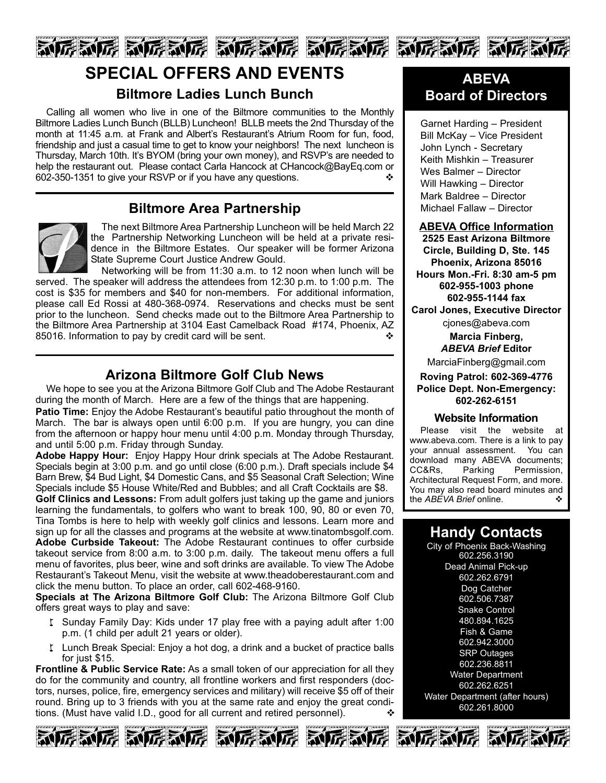

# **SPECIAL OFFERS AND EVENTS Biltmore Ladies Lunch Bunch**

Calling all women who live in one of the Biltmore communities to the Monthly Biltmore Ladies Lunch Bunch (BLLB) Luncheon! BLLB meets the 2nd Thursday of the month at 11:45 a.m. at Frank and Albert's Restaurant's Atrium Room for fun, food, friendship and just a casual time to get to know your neighbors! The next luncheon is Thursday, March 10th. It's BYOM (bring your own money), and RSVP's are needed to help the restaurant out. Please contact Carla Hancock at CHancock@BayEq.com or 602-350-1351 to give your RSVP or if you have any questions.

## **Biltmore Area Partnership**



The next Biltmore Area Partnership Luncheon will be held March 22 the Partnership Networking Luncheon will be held at a private residence in the Biltmore Estates. Our speaker will be former Arizona State Supreme Court Justice Andrew Gould.

Networking will be from 11:30 a.m. to 12 noon when lunch will be served. The speaker will address the attendees from 12:30 p.m. to 1:00 p.m. The cost is \$35 for members and \$40 for non-members. For additional information, please call Ed Rossi at 480-368-0974. Reservations and checks must be sent prior to the luncheon. Send checks made out to the Biltmore Area Partnership to the Biltmore Area Partnership at 3104 East Camelback Road #174, Phoenix, AZ 85016. Information to pay by credit card will be sent.  $\cdot$ 

## **Arizona Biltmore Golf Club News**

We hope to see you at the Arizona Biltmore Golf Club and The Adobe Restaurant during the month of March. Here are a few of the things that are happening.

**Patio Time:** Enjoy the Adobe Restaurant's beautiful patio throughout the month of March. The bar is always open until 6:00 p.m. If you are hungry, you can dine from the afternoon or happy hour menu until 4:00 p.m. Monday through Thursday, and until 5:00 p.m. Friday through Sunday.

**Adobe Happy Hour:** Enjoy Happy Hour drink specials at The Adobe Restaurant. Specials begin at 3:00 p.m. and go until close (6:00 p.m.). Draft specials include \$4 Barn Brew, \$4 Bud Light, \$4 Domestic Cans, and \$5 Seasonal Craft Selection; Wine Specials include \$5 House White/Red and Bubbles; and all Craft Cocktails are \$8.

**Golf Clinics and Lessons:** From adult golfers just taking up the game and juniors learning the fundamentals, to golfers who want to break 100, 90, 80 or even 70, Tina Tombs is here to help with weekly golf clinics and lessons. Learn more and sign up for all the classes and programs at the website at www.tinatombsgolf.com. **Adobe Curbside Takeout:** The Adobe Restaurant continues to offer curbside takeout service from 8:00 a.m. to 3:00 p.m. daily. The takeout menu offers a full menu of favorites, plus beer, wine and soft drinks are available. To view The Adobe Restaurant's Takeout Menu, visit the website at www.theadoberestaurant.com and click the menu button. To place an order, call 602-468-9160.

**Specials at The Arizona Biltmore Golf Club:** The Arizona Biltmore Golf Club offers great ways to play and save:

- I Sunday Family Day: Kids under 17 play free with a paying adult after 1:00 p.m. (1 child per adult 21 years or older).
- I Lunch Break Special: Enjoy a hot dog, a drink and a bucket of practice balls for just \$15.

**Frontline & Public Service Rate:** As a small token of our appreciation for all they do for the community and country, all frontline workers and first responders (doctors, nurses, police, fire, emergency services and military) will receive \$5 off of their round. Bring up to 3 friends with you at the same rate and enjoy the great conditions. (Must have valid I.D., good for all current and retired personnel).









## **ABEVA Board of Directors**

Garnet Harding – President Bill McKay – Vice President John Lynch - Secretary Keith Mishkin – Treasurer Wes Balmer – Director Will Hawking – Director Mark Baldree – Director Michael Fallaw – Director

**ABEVA Office Information 2525 East Arizona Biltmore Circle, Building D, Ste. 145 Phoenix, Arizona 85016 Hours Mon.-Fri. 8:30 am-5 pm 602-955-1003 phone 602-955-1144 fax Carol Jones, Executive Director**

cjones@abeva.com **Marcia Finberg,**

*ABEVA Brief* **Editor**

MarciaFinberg@gmail.com

**Roving Patrol: 602-369-4776 Police Dept. Non-Emergency: 602-262-6151**

#### **Website Information**

Please visit the website at www.abeva.com. There is a link to pay your annual assessment. You can download many ABEVA documents; CC&Rs, Parking Permission, Architectural Request Form, and more. You may also read board minutes and the *ABEVA Brief* online. ↓

# **Handy Contacts**

City of Phoenix Back-Washing 602.256.3190 Dead Animal Pick-up 602.262.6791 Dog Catcher 602.506.7387 Snake Control 480.894.1625 Fish & Game 602.942.3000 SRP Outages 602.236.8811 Water Department 602.262.6251 Water Department (after hours) 602.261.8000